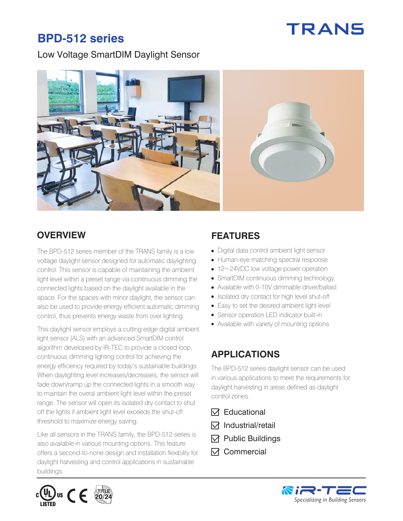# **TRANS**

## **BPD-512 series**

Low Voltage SmartDIM Daylight Sensor



The BPD-512 series member of the TRANS family is a low voltage daylight sensor designed for automatic daylighting control. This sensor is capable of maintaining the ambient light level within a preset range via continuous dimming the connected lights based on the daylight available in the space. For the spaces with minor daylight, the sensor can also be used to provide energy efficient automatic dimming control, thus prevents energy waste from over lighting.

This daylight sensor employs a cutting edge digital ambient light sensor (ALS) with an advanced SmartDIM control algorithm developed by IR-TEC to provide a closed loop, continuous dimming lighting control for achieving the energy efficiency required by today's sustainable buildings. When daylighting level increases/decreases, the sensor will fade down/ramp up the connected lights in a smooth way to maintain the overal ambient light level within the preset range. The sensor will open its isolated dry contact to shut off the lights if ambient light level exceeds the shut-off threshold to maximize energy saving.

Like all sensors in the TRANS family, the BPD-512 series is also available in various mounting options. This feature offers a second-to-none design and installation flexibility for daylight harvesting and control applications in sustainable buildings.

## **OVERVIEW FEATURES**

- Digital data control ambient light sensor
- Human-eye matching spectral response
- 12~24VDC low voltage power operation
- SmartDIM continuous dimming technology
- Available with 0-10V dimmable driver/ballast
- Isolated dry contact for high level shut-off
- Easy to set the desired ambient light level
- Sensor operation LED indicator built-in
- Available with variety of mounting options

## **APPLICATIONS**

The BPD-512 series daylight sensor can be used in various applications to meet the requirements for daylight harvesting in areas defined as daylight control zones.

- Educational
- $\boxdot$  Industrial/retail
- $\boxdot$  Public Buildings
- **⊡** Commercial